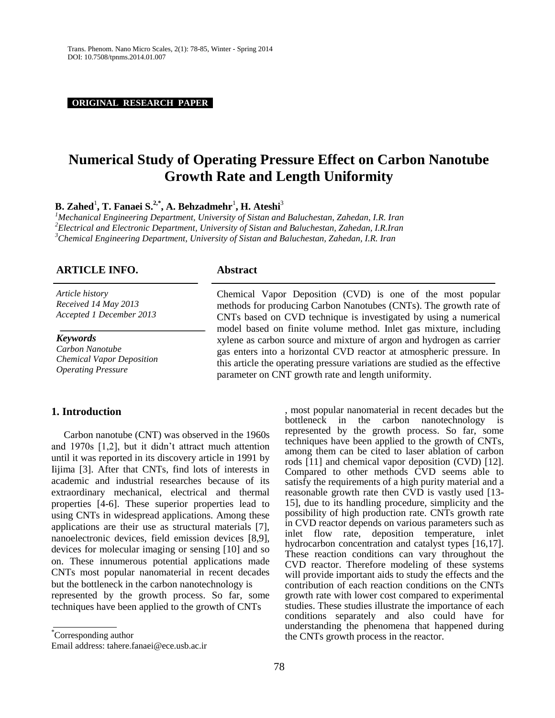**ORIGINAL RESEARCH PAPER .**

# **Numerical Study of Operating Pressure Effect on Carbon Nanotube Growth Rate and Length Uniformity**

 ${\bf B.\ Zahed}^1,$   ${\bf T.\ Fanaei\ S.^2^*,$   ${\bf A.\ Behzadmehr}^1,$   ${\bf H.\ Atesh i}^3$ 

*<sup>1</sup>Mechanical Engineering Department, University of Sistan and Baluchestan, Zahedan, I.R. Iran <sup>2</sup>Electrical and Electronic Department, University of Sistan and Baluchestan, Zahedan, I.R.Iran <sup>3</sup>Chemical Engineering Department, University of Sistan and Baluchestan, Zahedan, I.R. Iran*

#### **ARTICLE INFO.**

*Article history Received 14 May 2013 Accepted 1 December 2013*

*Keywords Carbon Nanotube Chemical Vapor Deposition Operating Pressure*

## **1. Introduction**

Carbon nanotube (CNT) was observed in the 1960s and 1970s [1,2], but it didn't attract much attention until it was reported in its discovery article in 1991 by Iijima [3]. After that CNTs, find lots of interests in academic and industrial researches because of its extraordinary mechanical, electrical and thermal properties [4-6]. These superior properties lead to using CNTs in widespread applications. Among these applications are their use as structural materials [7], nanoelectronic devices, field emission devices [8,9], devices for molecular imaging or sensing [10] and so on. These innumerous potential applications made CNTs most popular nanomaterial in recent decades but the bottleneck in the carbon nanotechnology is represented by the growth process. So far, some techniques have been applied to the growth of CNTs

Email address: tahere.fanaei@ece.usb.ac.ir

## **Abstract**

Chemical Vapor Deposition (CVD) is one of the most popular methods for producing Carbon Nanotubes (CNTs). The growth rate of CNTs based on CVD technique is investigated by using a numerical model based on finite volume method. Inlet gas mixture, including xylene as carbon source and mixture of argon and hydrogen as carrier gas enters into a horizontal CVD reactor at atmospheric pressure. In this article the operating pressure variations are studied as the effective parameter on CNT growth rate and length uniformity.

> , most popular nanomaterial in recent decades but the bottleneck in the carbon nanotechnology is represented by the growth process. So far, some techniques have been applied to the growth of CNTs, among them can be cited to laser ablation of carbon rods [11] and chemical vapor deposition (CVD) [12]. Compared to other methods CVD seems able to satisfy the requirements of a high purity material and a reasonable growth rate then CVD is vastly used [13- 15], due to its handling procedure, simplicity and the possibility of high production rate. CNTs growth rate in CVD reactor depends on various parameters such as inlet flow rate, deposition temperature, inlet hydrocarbon concentration and catalyst types [16,17]. These reaction conditions can vary throughout the CVD reactor. Therefore modeling of these systems will provide important aids to study the effects and the contribution of each reaction conditions on the CNTs growth rate with lower cost compared to experimental studies. These studies illustrate the importance of each conditions separately and also could have for understanding the phenomena that happened during the CNTs growth process in the reactor.

<sup>\*</sup> Corresponding author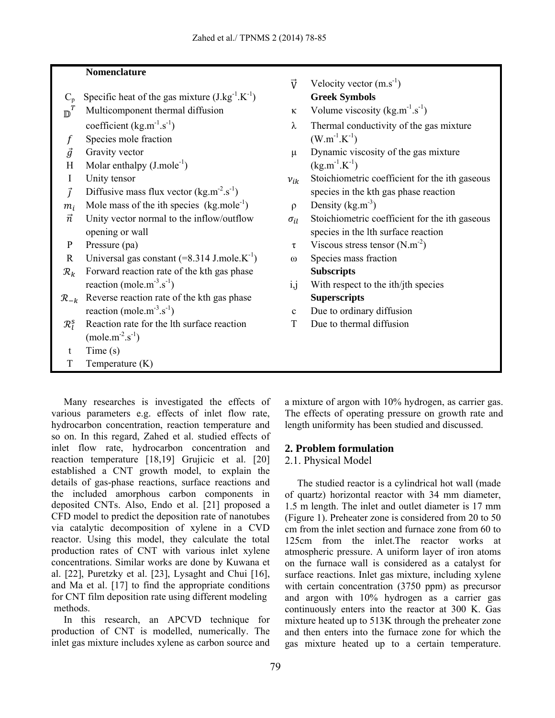## **Nomenclature**

- $C_p$  Specific heat of the gas mixture  $(J.kg^{-1}.K^{-1})$
- $\mathbb{D}^T$
- $f$  Species mole fraction (W.m<sup>-1</sup>.K<sup>-1</sup>)
- 
- H Molar enthalpy  $(J.\text{mole}^{-1})$  (kg.m<sup>-1</sup>.K<sup>-1</sup>)
- I Unity tensor  $v_{ik}$
- $\vec{J}$  Diffusive mass flux vector (kg.m<sup>-2</sup>.s<sup>-1</sup>) species in the kth gas phase reaction
- $m_i$  Mole mass of the ith species (kg.mole<sup>-1</sup>)  $\rho$  Density (kg.m<sup>-3</sup>)
- $\vec{n}$  Unity vector normal to the inflow/outflow  $\sigma_{ii}$ opening or wall species in the lth surface reaction
- 
- R Universal gas constant  $(=8.314 \text{ J.mole.K}^{-1})$  ω Species mass fraction
- $\mathcal{R}_k$  Forward reaction rate of the kth gas phase **Subscripts**<br>reaction (mole.m<sup>-3</sup>.s<sup>-1</sup>) i.j With respectively
- $\mathcal{R}_{-k}$  Reverse reaction rate of the kth gas phase **Superscripts**<br>reaction (mole.m<sup>-3</sup>.s<sup>-1</sup>) c Due to ordinal
- $\mathcal{R}_I^{\text{S}}$ Reaction rate for the lth surface reaction T Due to thermal diffusion  $(mole.m<sup>-2</sup>.s<sup>-1</sup>)$
- t Time (s)
- T Temperature (K)

Many researches is investigated the effects of various parameters e.g. effects of inlet flow rate, hydrocarbon concentration, reaction temperature and so on. In this regard, Zahed et al. studied effects of inlet flow rate, hydrocarbon concentration and reaction temperature [18,19] Grujicic et al. [20] established a CNT growth model, to explain the details of gas-phase reactions, surface reactions and the included amorphous carbon components in deposited CNTs. Also, Endo et al. [21] proposed a CFD model to predict the deposition rate of nanotubes via catalytic decomposition of xylene in a CVD reactor. Using this model, they calculate the total production rates of CNT with various inlet xylene concentrations. Similar works are done by Kuwana et al. [22], Puretzky et al. [23], Lysaght and Chui [16], and Ma et al. [17] to find the appropriate conditions for CNT film deposition rate using different modeling methods.

In this research, an APCVD technique for production of CNT is modelled, numerically. The inlet gas mixture includes xylene as carbon source and

- $\vec{V}$  Velocity vector  $(m.s^{-1})$ <br>Greek Symbols
- Multicomponent thermal diffusion  $\kappa$  Volume viscosity (kg.m<sup>-1</sup>.s<sup>-1</sup>)
- coefficient  $(kg.m^{-1}.s^{-1})$   $\lambda$  Thermal conductivity of the gas mixture
- $\vec{g}$  Gravity vector  $\mu$  Dynamic viscosity of the gas mixture
	- Stoichiometric coefficient for the ith gaseous
	-
	- Stoichiometric coefficient for the ith gaseous
- P Pressure (pa)  $\tau$  Viscous stress tensor (N.m<sup>-2</sup>)
	-
	- $i$ , i,j With respect to the ith/jth species
	- c Due to ordinary diffusion
	-

a mixture of argon with 10% hydrogen, as carrier gas. The effects of operating pressure on growth rate and length uniformity has been studied and discussed.

# **2. Problem formulation**

## 2.1. Physical Model

The studied reactor is a cylindrical hot wall (made of quartz) horizontal reactor with 34 mm diameter, 1.5 m length. The inlet and outlet diameter is 17 mm (Figure 1). Preheater zone is considered from 20 to 50 cm from the inlet section and furnace zone from 60 to 125cm from the inlet.The reactor works at atmospheric pressure. A uniform layer of iron atoms on the furnace wall is considered as a catalyst for surface reactions. Inlet gas mixture, including xylene with certain concentration (3750 ppm) as precursor and argon with 10% hydrogen as a carrier gas continuously enters into the reactor at 300 K. Gas mixture heated up to 513K through the preheater zone and then enters into the furnace zone for which the gas mixture heated up to a certain temperature.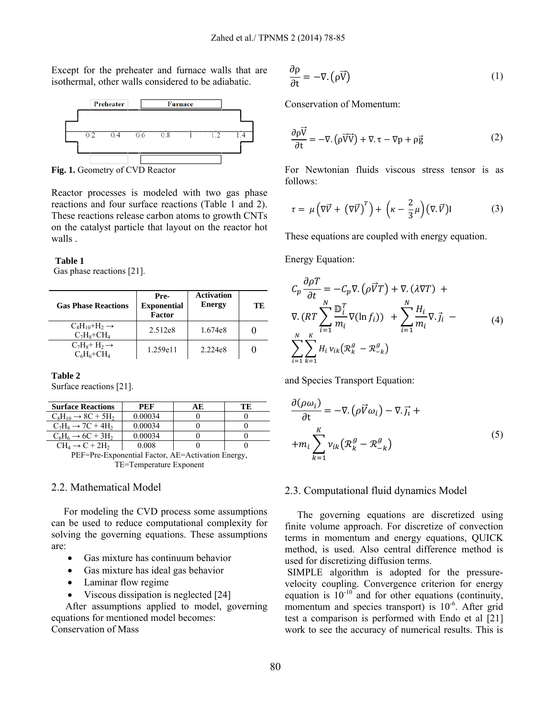Except for the preheater and furnace walls that are isothermal, other walls considered to be adiabatic.



**Fig. 1.** Geometry of CVD Reactor

Reactor processes is modeled with two gas phase reactions and four surface reactions (Table 1 and 2). These reactions release carbon atoms to growth CNTs on the catalyst particle that layout on the reactor hot walls .

**Table 1**  Gas phase reactions [21].

| <b>Gas Phase Reactions</b>                     | Pre-<br><b>Exponential</b><br>Factor | <b>Activation</b><br><b>Energy</b> | TЕ |
|------------------------------------------------|--------------------------------------|------------------------------------|----|
| $C_8H_{10}+H_2 \rightarrow$<br>$C_7H_8 + CH_4$ | 2.512e8                              | 1.674e8                            |    |
| $C_7H_8+H_2 \rightarrow$<br>$C_6H_6+CH_4$      | 1.259e11                             | 2.224e8                            |    |

**Table 2** 

Surface reactions [21].

| <b>Surface Reactions</b>          | PEF     | AЕ | TF. |
|-----------------------------------|---------|----|-----|
| $C_8H_{10} \rightarrow 8C + 5H_2$ | 0.00034 |    |     |
| $C_7H_8 \rightarrow 7C + 4H_7$    | 0.00034 |    |     |
| $C_6H_6 \rightarrow 6C + 3H_2$    | 0.00034 |    |     |
| $CH_4 \rightarrow C + 2H_2$       | 0.008   |    |     |

PEF=Pre-Exponential Factor, AE=Activation Energy, TE=Temperature Exponent

#### 2.2. Mathematical Model

For modeling the CVD process some assumptions can be used to reduce computational complexity for solving the governing equations. These assumptions are:

- Gas mixture has continuum behavior
- Gas mixture has ideal gas behavior
- Laminar flow regime
- Viscous dissipation is neglected [24]

After assumptions applied to model, governing equations for mentioned model becomes: Conservation of Mass

$$
\frac{\partial \rho}{\partial t} = -\nabla \cdot (\rho \vec{V}) \tag{1}
$$

Conservation of Momentum:

$$
\frac{\partial \rho \vec{V}}{\partial t} = -\nabla \cdot (\rho \vec{V} \vec{V}) + \nabla \cdot \tau - \nabla p + \rho \vec{g}
$$
 (2)

For Newtonian fluids viscous stress tensor is as follows:

$$
\tau = \mu \left( \nabla \vec{V} + (\nabla \vec{V})^T \right) + \left( \kappa - \frac{2}{3} \mu \right) (\nabla \cdot \vec{V}) I \tag{3}
$$

These equations are coupled with energy equation.

Energy Equation:

$$
C_p \frac{\partial \rho T}{\partial t} = -C_p \nabla \cdot (\rho \vec{V} T) + \nabla \cdot (\lambda \nabla T) +
$$
  
\n
$$
\nabla \cdot (RT \sum_{i=1}^N \frac{\mathbb{D}_i^T}{m_i} \nabla (\ln f_i)) + \sum_{i=1}^N \frac{H_i}{m_i} \nabla \cdot \vec{J}_i -
$$
  
\n
$$
\sum_{i=1}^N \sum_{k=1}^K H_i v_{ik} (\mathcal{R}_k^g - \mathcal{R}_{-k}^g)
$$
 (4)

and Species Transport Equation:

$$
\frac{\partial(\rho \omega_i)}{\partial t} = -\nabla \cdot (\rho \vec{V} \omega_i) - \nabla \cdot \vec{J}_i +
$$
  
+
$$
+ m_i \sum_{k=1}^{K} v_{ik} (\mathcal{R}_k^g - \mathcal{R}_{-k}^g)
$$
 (5)

## 2.3. Computational fluid dynamics Model

The governing equations are discretized using finite volume approach. For discretize of convection terms in momentum and energy equations, QUICK method, is used. Also central difference method is used for discretizing diffusion terms.

 SIMPLE algorithm is adopted for the pressurevelocity coupling. Convergence criterion for energy equation is  $10^{-10}$  and for other equations (continuity, momentum and species transport) is  $10^{-6}$ . After grid test a comparison is performed with Endo et al [21] work to see the accuracy of numerical results. This is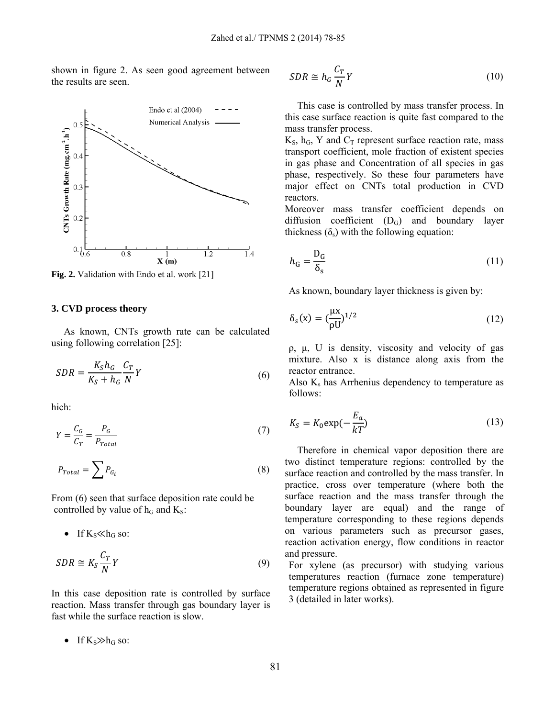shown in figure 2. As seen good agreement between the results are seen.



**Fig. 2.** Validation with Endo et al. work [21]

#### **3. CVD process theory**

As known, CNTs growth rate can be calculated using following correlation [25]:

$$
SDR = \frac{K_S h_G}{K_S + h_G} \frac{C_T}{N} Y
$$
\n<sup>(6)</sup>

hich:

$$
Y = \frac{C_G}{C_T} = \frac{P_G}{P_{Total}}\tag{7}
$$

$$
P_{Total} = \sum P_{G_i} \tag{8}
$$

From (6) seen that surface deposition rate could be controlled by value of  $h<sub>G</sub>$  and  $K<sub>S</sub>$ :

• If  $K_S \ll h_G$  so:

$$
SDR \cong K_S \frac{C_T}{N} Y \tag{9}
$$

In this case deposition rate is controlled by surface reaction. Mass transfer through gas boundary layer is fast while the surface reaction is slow.

 $\bullet$  If K<sub>s</sub> $\gg$ h<sub>G</sub> so:

$$
SDR \cong h_G \frac{C_T}{N} Y \tag{10}
$$

This case is controlled by mass transfer process. In this case surface reaction is quite fast compared to the mass transfer process.

 $K<sub>S</sub>$ ,  $h<sub>G</sub>$ , Y and  $C<sub>T</sub>$  represent surface reaction rate, mass transport coefficient, mole fraction of existent species in gas phase and Concentration of all species in gas phase, respectively. So these four parameters have major effect on CNTs total production in CVD reactors.

Moreover mass transfer coefficient depends on diffusion coefficient  $(D_G)$  and boundary layer thickness  $(\delta_s)$  with the following equation:

$$
h_{\rm G} = \frac{\rm D_{G}}{\delta_{\rm s}}\tag{11}
$$

As known, boundary layer thickness is given by:

$$
\delta_s(\mathbf{x}) = \left(\frac{\mu \mathbf{x}}{\rho \mathbf{U}}\right)^{1/2} \tag{12}
$$

ρ, μ, U is density, viscosity and velocity of gas mixture. Also x is distance along axis from the reactor entrance.

Also  $K<sub>s</sub>$  has Arrhenius dependency to temperature as follows:

$$
K_S = K_0 \exp(-\frac{E_a}{kT})
$$
\n(13)

Therefore in chemical vapor deposition there are two distinct temperature regions: controlled by the surface reaction and controlled by the mass transfer. In practice, cross over temperature (where both the surface reaction and the mass transfer through the boundary layer are equal) and the range of temperature corresponding to these regions depends on various parameters such as precursor gases, reaction activation energy, flow conditions in reactor and pressure.

For xylene (as precursor) with studying various temperatures reaction (furnace zone temperature) temperature regions obtained as represented in figure 3 (detailed in later works).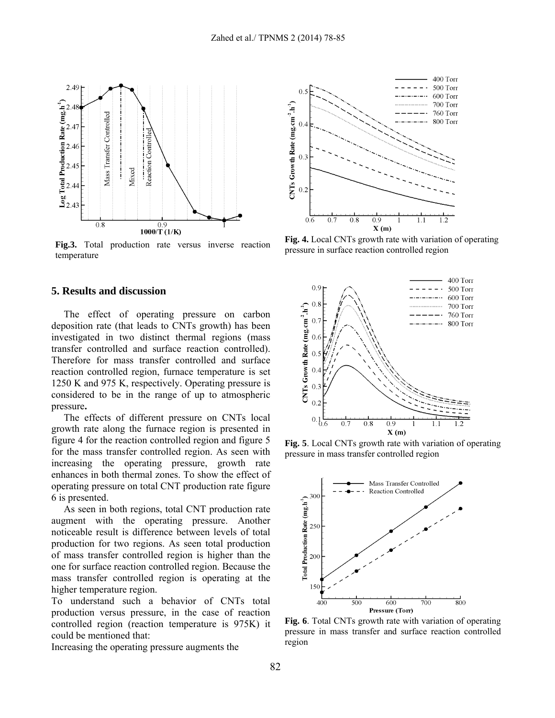

**Fig.3.** Total production rate versus inverse reaction temperature

# **5. Results and discussion**

The effect of operating pressure on carbon deposition rate (that leads to CNTs growth) has been investigated in two distinct thermal regions (mass transfer controlled and surface reaction controlled). Therefore for mass transfer controlled and surface reaction controlled region, furnace temperature is set 1250 K and 975 K, respectively. Operating pressure is considered to be in the range of up to atmospheric pressure**.**

The effects of different pressure on CNTs local growth rate along the furnace region is presented in figure 4 for the reaction controlled region and figure 5 for the mass transfer controlled region. As seen with increasing the operating pressure, growth rate enhances in both thermal zones. To show the effect of operating pressure on total CNT production rate figure 6 is presented.

As seen in both regions, total CNT production rate augment with the operating pressure. Another noticeable result is difference between levels of total production for two regions. As seen total production of mass transfer controlled region is higher than the one for surface reaction controlled region. Because the mass transfer controlled region is operating at the higher temperature region.

To understand such a behavior of CNTs total production versus pressure, in the case of reaction controlled region (reaction temperature is 975K) it could be mentioned that:

Increasing the operating pressure augments the



**Fig. 4.** Local CNTs growth rate with variation of operating pressure in surface reaction controlled region



**Fig. 5**. Local CNTs growth rate with variation of operating pressure in mass transfer controlled region



**Fig. 6**. Total CNTs growth rate with variation of operating pressure in mass transfer and surface reaction controlled region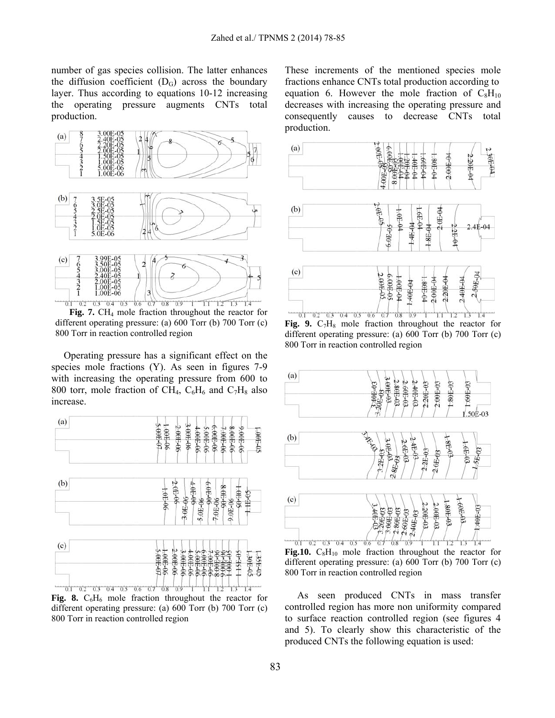number of gas species collision. The latter enhances the diffusion coefficient  $(D_G)$  across the boundary layer. Thus according to equations 10-12 increasing the operating pressure augments CNTs total production.



Fig. 7. CH<sub>4</sub> mole fraction throughout the reactor for different operating pressure: (a) 600 Torr (b) 700 Torr (c) 800 Torr in reaction controlled region

….Operating pressure has a significant effect on the species mole fractions (Y). As seen in figures 7-9 with increasing the operating pressure from 600 to 800 torr, mole fraction of CH<sub>4</sub>,  $C_6H_6$  and  $C_7H_8$  also increase.



Fig. 8.  $C_6H_6$  mole fraction throughout the reactor for different operating pressure: (a) 600 Torr (b) 700 Torr (c) 800 Torr in reaction controlled region

These increments of the mentioned species mole fractions enhance CNTs total production according to equation 6. However the mole fraction of  $C_8H_{10}$ decreases with increasing the operating pressure and consequently causes to decrease CNTs total production.



Fig. 9.  $C_7H_8$  mole fraction throughout the reactor for different operating pressure: (a) 600 Torr (b) 700 Torr (c) 800 Torr in reaction controlled region



**Fig.10.**  $C_8H_{10}$  mole fraction throughout the reactor for different operating pressure: (a) 600 Torr (b) 700 Torr (c) 800 Torr in reaction controlled region

As seen produced CNTs in mass transfer controlled region has more non uniformity compared to surface reaction controlled region (see figures 4 and 5). To clearly show this characteristic of the produced CNTs the following equation is used: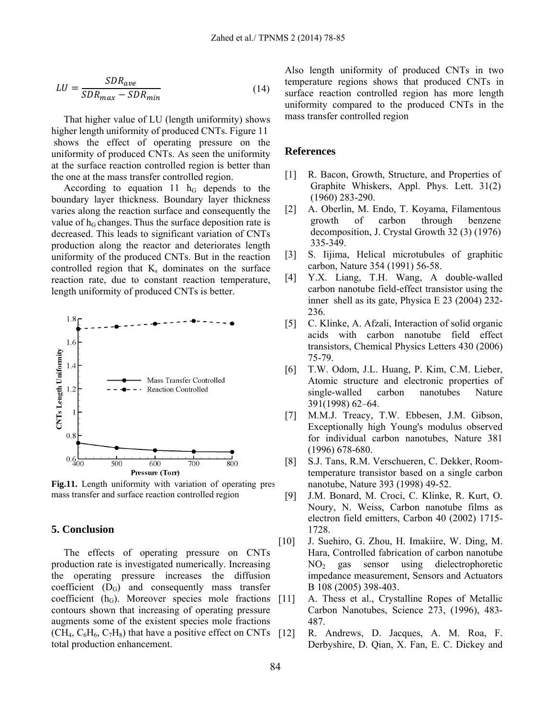$$
LU = \frac{SDR_{ave}}{SDR_{max} - SDR_{min}}\tag{14}
$$

That higher value of LU (length uniformity) shows higher length uniformity of produced CNTs. Figure 11 shows the effect of operating pressure on the uniformity of produced CNTs. As seen the uniformity at the surface reaction controlled region is better than the one at the mass transfer controlled region.

According to equation 11  $h_G$  depends to the boundary layer thickness. Boundary layer thickness varies along the reaction surface and consequently the value of  $h_G$  changes. Thus the surface deposition rate is decreased. This leads to significant variation of CNTs production along the reactor and deteriorates length uniformity of the produced CNTs. But in the reaction controlled region that  $K_s$  dominates on the surface reaction rate, due to constant reaction temperature, length uniformity of produced CNTs is better.



**Fig.11.** Length uniformity with variation of operating pres mass transfer and surface reaction controlled region

## **5. Conclusion**

The effects of operating pressure on CNTs production rate is investigated numerically. Increasing the operating pressure increases the diffusion coefficient (DG) and consequently mass transfer coefficient  $(h_G)$ . Moreover species mole fractions [11] contours shown that increasing of operating pressure augments some of the existent species mole fractions  $(CH_4, C_6H_6, C_7H_8)$  that have a positive effect on CNTs [12] total production enhancement.

Also length uniformity of produced CNTs in two temperature regions shows that produced CNTs in surface reaction controlled region has more length uniformity compared to the produced CNTs in the mass transfer controlled region

## **References**

- [1] R. Bacon, Growth, Structure, and Properties of Graphite Whiskers, Appl. Phys. Lett. 31(2) (1960) 283-290.
- [2] A. Oberlin, M. Endo, T. Koyama, Filamentous growth of carbon through benzene decomposition, J. Crystal Growth 32 (3) (1976) 335-349.
- [3] S. Iijima, Helical microtubules of graphitic carbon, Nature 354 (1991) 56-58.
- [4] Y.X. Liang, T.H. Wang, A double-walled carbon nanotube field-effect transistor using the inner shell as its gate, Physica E 23 (2004) 232- 236.
- [5] C. Klinke, A. Afzali, Interaction of solid organic acids with carbon nanotube field effect transistors, Chemical Physics Letters 430 (2006) 75-79.
- [6] T.W. Odom, J.L. Huang, P. Kim, C.M. Lieber, Atomic structure and electronic properties of single-walled carbon nanotubes Nature 391(1998) 62–64.
- [7] M.M.J. Treacy, T.W. Ebbesen, J.M. Gibson, Exceptionally high Young's modulus observed for individual carbon nanotubes, Nature 381 (1996) 678-680.
- [8] S.J. Tans, R.M. Verschueren, C. Dekker, Roomtemperature transistor based on a single carbon nanotube, Nature 393 (1998) 49-52.
- [9] J.M. Bonard, M. Croci, C. Klinke, R. Kurt, O. Noury, N. Weiss, Carbon nanotube films as electron field emitters, Carbon 40 (2002) 1715- 1728.
- [10] J. Suehiro, G. Zhou, H. Imakiire, W. Ding, M. Hara, Controlled fabrication of carbon nanotube NO2 gas sensor using dielectrophoretic impedance measurement, Sensors and Actuators B 108 (2005) 398-403.
- A. Thess et al., Crystalline Ropes of Metallic Carbon Nanotubes, Science 273, (1996), 483- 487.
- R. Andrews, D. Jacques, A. M. Roa, F. Derbyshire, D. Qian, X. Fan, E. C. Dickey and